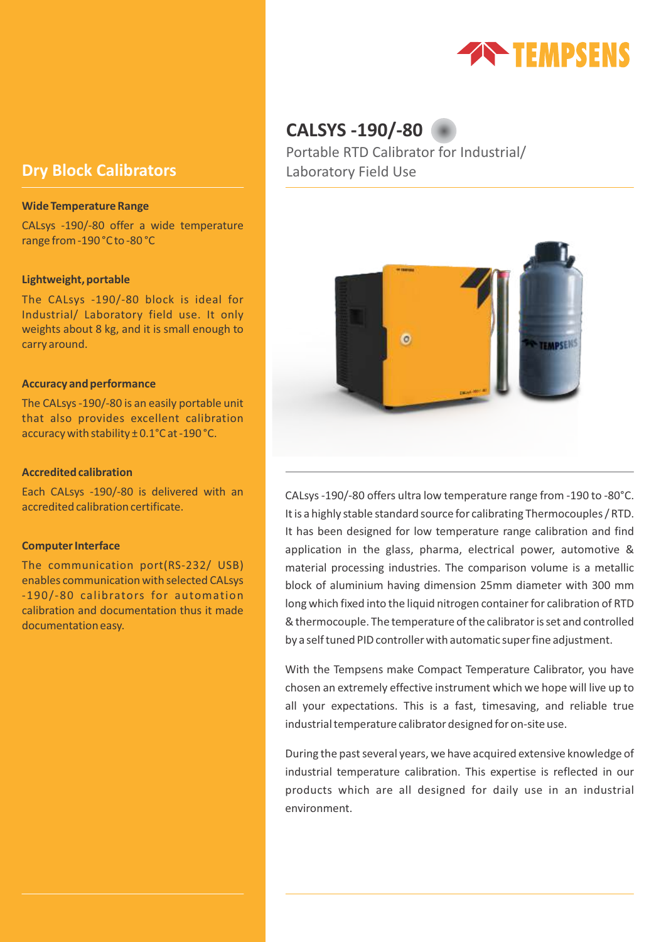

# **Dry Block Calibrators**

#### **Wide Temperature Range**

CALsys -190/-80 offer a wide temperature range from -190 °C to -80 °C

### **Lightweight, portable**

The CALsys -190/-80 block is ideal for Industrial/ Laboratory field use. It only weights about 8 kg, and it is small enough to carry around.

#### **Accuracy and performance**

The CALsys -190/-80 is an easily portable unit that also provides excellent calibration accuracy with stability ± 0.1°C at -190 °C.

## **Accredited calibration**

Each CALsys -190/-80 is delivered with an accredited calibration certificate.

### **Computer Interface**

The communication port(RS-232/ USB) enables communication with selected CALsys -190/-80 calibrators for automation calibration and documentation thus it made documentation easy.

# **CALSYS -190/-80**

Portable RTD Calibrator for Industrial/ Laboratory Field Use



CALsys -190/-80 offers ultra low temperature range from -190 to -80°C. It is a highly stable standard source for calibrating Thermocouples / RTD. It has been designed for low temperature range calibration and find application in the glass, pharma, electrical power, automotive & material processing industries. The comparison volume is a metallic block of aluminium having dimension 25mm diameter with 300 mm long which fixed into the liquid nitrogen container for calibration of RTD & thermocouple. The temperature of the calibrator is set and controlled by a self tuned PID controller with automatic super fine adjustment.

With the Tempsens make Compact Temperature Calibrator, you have chosen an extremely effective instrument which we hope will live up to all your expectations. This is a fast, timesaving, and reliable true industrial temperature calibrator designed for on-site use.

During the past several years, we have acquired extensive knowledge of industrial temperature calibration. This expertise is reflected in our products which are all designed for daily use in an industrial environment.